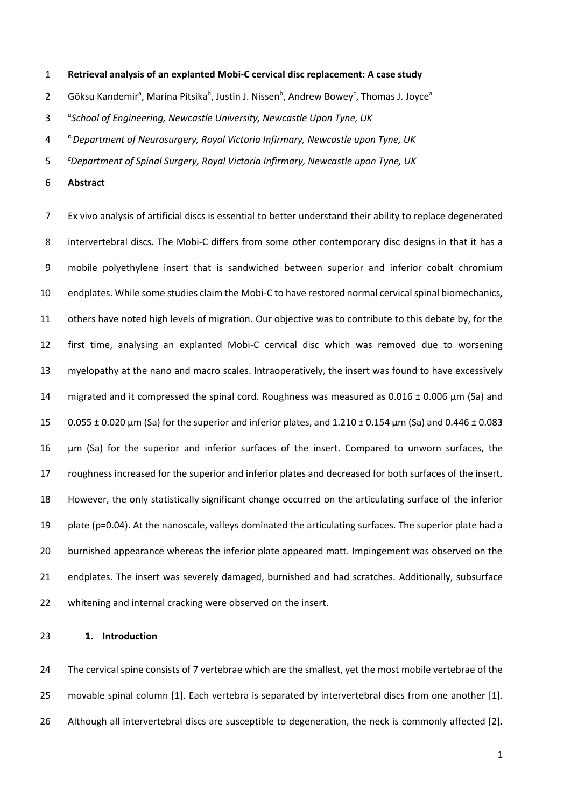**Retrieval analysis of an explanted Mobi-C cervical disc replacement: A case study**

2 Göksu Kandemir<sup>a</sup>, Marina Pitsika<sup>b</sup>, Justin J. Nissen<sup>b</sup>, Andrew Bowey<sup>c</sup>, Thomas J. Joyce<sup>a</sup>

- *<sup>a</sup> School of Engineering, Newcastle University, Newcastle Upon Tyne, UK*
- *<sup>b</sup> Department of Neurosurgery, Royal Victoria Infirmary, Newcastle upon Tyne, UK*
- *<sup>c</sup> Department of Spinal Surgery, Royal Victoria Infirmary, Newcastle upon Tyne, UK*
- **Abstract**

 Ex vivo analysis of artificial discs is essential to better understand their ability to replace degenerated intervertebral discs. The Mobi-C differs from some other contemporary disc designs in that it has a mobile polyethylene insert that is sandwiched between superior and inferior cobalt chromium endplates. While some studies claim the Mobi-C to have restored normal cervical spinal biomechanics, others have noted high levels of migration. Our objective was to contribute to this debate by, for the first time, analysing an explanted Mobi-C cervical disc which was removed due to worsening myelopathy at the nano and macro scales. Intraoperatively, the insert was found to have excessively 14 migrated and it compressed the spinal cord. Roughness was measured as  $0.016 \pm 0.006$   $\mu$ m (Sa) and 0.055 ± 0.020 μm (Sa) for the superior and inferior plates, and 1.210 ± 0.154 μm (Sa) and 0.446 ± 0.083 μm (Sa) for the superior and inferior surfaces of the insert. Compared to unworn surfaces, the roughness increased for the superior and inferior plates and decreased for both surfaces of the insert. However, the only statistically significant change occurred on the articulating surface of the inferior plate (p=0.04). At the nanoscale, valleys dominated the articulating surfaces. The superior plate had a burnished appearance whereas the inferior plate appeared matt. Impingement was observed on the endplates. The insert was severely damaged, burnished and had scratches. Additionally, subsurface whitening and internal cracking were observed on the insert.

### **1. Introduction**

 The cervical spine consists of 7 vertebrae which are the smallest, yet the most mobile vertebrae of the movable spinal column [1]. Each vertebra is separated by intervertebral discs from one another [1]. Although all intervertebral discs are susceptible to degeneration, the neck is commonly affected [2].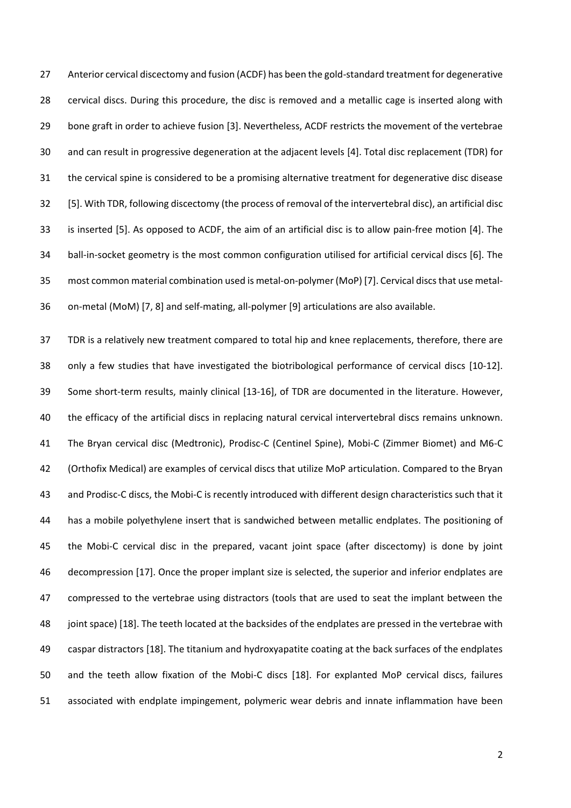Anterior cervical discectomy and fusion (ACDF) has been the gold-standard treatment for degenerative cervical discs. During this procedure, the disc is removed and a metallic cage is inserted along with bone graft in order to achieve fusion [3]. Nevertheless, ACDF restricts the movement of the vertebrae and can result in progressive degeneration at the adjacent levels [4]. Total disc replacement (TDR) for the cervical spine is considered to be a promising alternative treatment for degenerative disc disease [5]. With TDR, following discectomy (the process of removal of the intervertebral disc), an artificial disc is inserted [5]. As opposed to ACDF, the aim of an artificial disc is to allow pain-free motion [4]. The ball-in-socket geometry is the most common configuration utilised for artificial cervical discs [6]. The most common material combination used is metal-on-polymer (MoP) [7]. Cervical discs that use metal-on-metal (MoM) [7, 8] and self-mating, all-polymer [9] articulations are also available.

 TDR is a relatively new treatment compared to total hip and knee replacements, therefore, there are only a few studies that have investigated the biotribological performance of cervical discs [10-12]. Some short-term results, mainly clinical [13-16], of TDR are documented in the literature. However, the efficacy of the artificial discs in replacing natural cervical intervertebral discs remains unknown. The Bryan cervical disc (Medtronic), Prodisc-C (Centinel Spine), Mobi-C (Zimmer Biomet) and M6-C (Orthofix Medical) are examples of cervical discs that utilize MoP articulation. Compared to the Bryan and Prodisc-C discs, the Mobi-C is recently introduced with different design characteristics such that it has a mobile polyethylene insert that is sandwiched between metallic endplates. The positioning of the Mobi-C cervical disc in the prepared, vacant joint space (after discectomy) is done by joint decompression [17]. Once the proper implant size is selected, the superior and inferior endplates are compressed to the vertebrae using distractors (tools that are used to seat the implant between the joint space) [18]. The teeth located at the backsides of the endplates are pressed in the vertebrae with caspar distractors [18]. The titanium and hydroxyapatite coating at the back surfaces of the endplates and the teeth allow fixation of the Mobi-C discs [18]. For explanted MoP cervical discs, failures associated with endplate impingement, polymeric wear debris and innate inflammation have been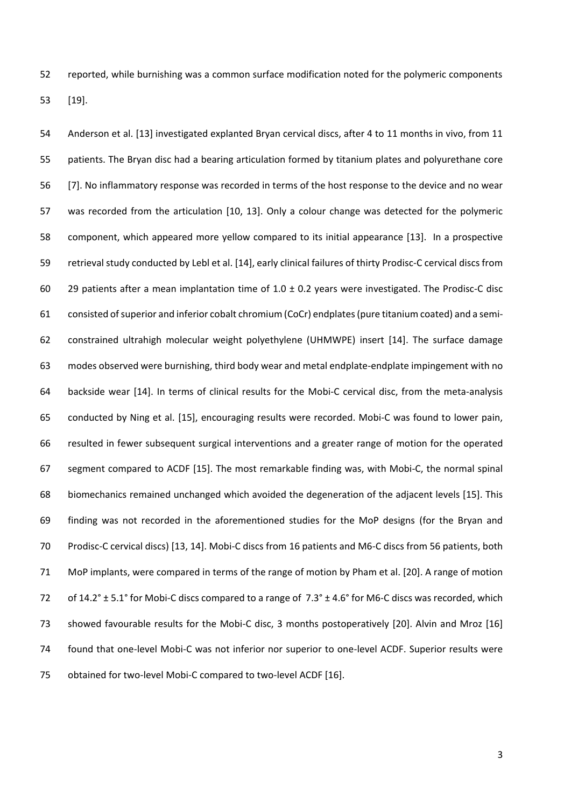reported, while burnishing was a common surface modification noted for the polymeric components [19].

 Anderson et al. [13] investigated explanted Bryan cervical discs, after 4 to 11 months in vivo, from 11 patients. The Bryan disc had a bearing articulation formed by titanium plates and polyurethane core [7]. No inflammatory response was recorded in terms of the host response to the device and no wear was recorded from the articulation [10, 13]. Only a colour change was detected for the polymeric component, which appeared more yellow compared to its initial appearance [13]. In a prospective retrieval study conducted by Lebl et al. [14], early clinical failures of thirty Prodisc-C cervical discs from 60 29 patients after a mean implantation time of  $1.0 \pm 0.2$  years were investigated. The Prodisc-C disc consisted of superior and inferior cobalt chromium (CoCr) endplates(pure titanium coated) and a semi- constrained ultrahigh molecular weight polyethylene (UHMWPE) insert [14]. The surface damage modes observed were burnishing, third body wear and metal endplate-endplate impingement with no backside wear [14]. In terms of clinical results for the Mobi-C cervical disc, from the meta-analysis conducted by Ning et al. [15], encouraging results were recorded. Mobi-C was found to lower pain, resulted in fewer subsequent surgical interventions and a greater range of motion for the operated segment compared to ACDF [15]. The most remarkable finding was, with Mobi-C, the normal spinal biomechanics remained unchanged which avoided the degeneration of the adjacent levels [15]. This finding was not recorded in the aforementioned studies for the MoP designs (for the Bryan and Prodisc-C cervical discs) [13, 14]. Mobi-C discs from 16 patients and M6-C discs from 56 patients, both MoP implants, were compared in terms of the range of motion by Pham et al. [20]. A range of motion 72 of 14.2 $\degree$  ± 5.1 $\degree$  for Mobi-C discs compared to a range of 7.3 $\degree$  ± 4.6 $\degree$  for M6-C discs was recorded, which showed favourable results for the Mobi-C disc, 3 months postoperatively [20]. Alvin and Mroz [16] found that one-level Mobi-C was not inferior nor superior to one-level ACDF. Superior results were obtained for two-level Mobi-C compared to two-level ACDF [16].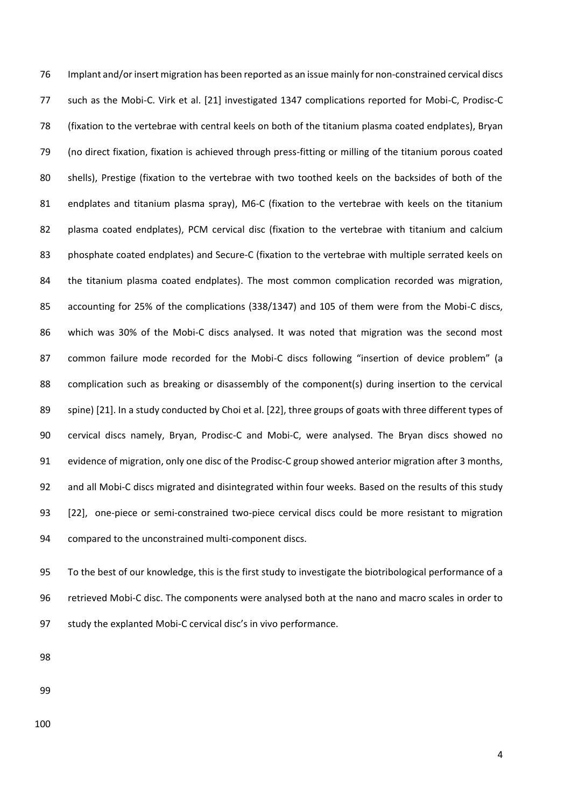Implant and/or insert migration has been reported as an issue mainly for non-constrained cervical discs such as the Mobi-C. Virk et al. [21] investigated 1347 complications reported for Mobi-C, Prodisc-C (fixation to the vertebrae with central keels on both of the titanium plasma coated endplates), Bryan (no direct fixation, fixation is achieved through press-fitting or milling of the titanium porous coated shells), Prestige (fixation to the vertebrae with two toothed keels on the backsides of both of the 81 endplates and titanium plasma spray), M6-C (fixation to the vertebrae with keels on the titanium plasma coated endplates), PCM cervical disc (fixation to the vertebrae with titanium and calcium phosphate coated endplates) and Secure-C (fixation to the vertebrae with multiple serrated keels on the titanium plasma coated endplates). The most common complication recorded was migration, accounting for 25% of the complications (338/1347) and 105 of them were from the Mobi-C discs, which was 30% of the Mobi-C discs analysed. It was noted that migration was the second most common failure mode recorded for the Mobi-C discs following "insertion of device problem" (a 88 complication such as breaking or disassembly of the component(s) during insertion to the cervical spine) [21]. In a study conducted by Choi et al. [22], three groups of goats with three different types of cervical discs namely, Bryan, Prodisc-C and Mobi-C, were analysed. The Bryan discs showed no evidence of migration, only one disc of the Prodisc-C group showed anterior migration after 3 months, and all Mobi-C discs migrated and disintegrated within four weeks. Based on the results of this study [22], one-piece or semi-constrained two-piece cervical discs could be more resistant to migration compared to the unconstrained multi-component discs.

 To the best of our knowledge, this is the first study to investigate the biotribological performance of a retrieved Mobi-C disc. The components were analysed both at the nano and macro scales in order to study the explanted Mobi-C cervical disc's in vivo performance.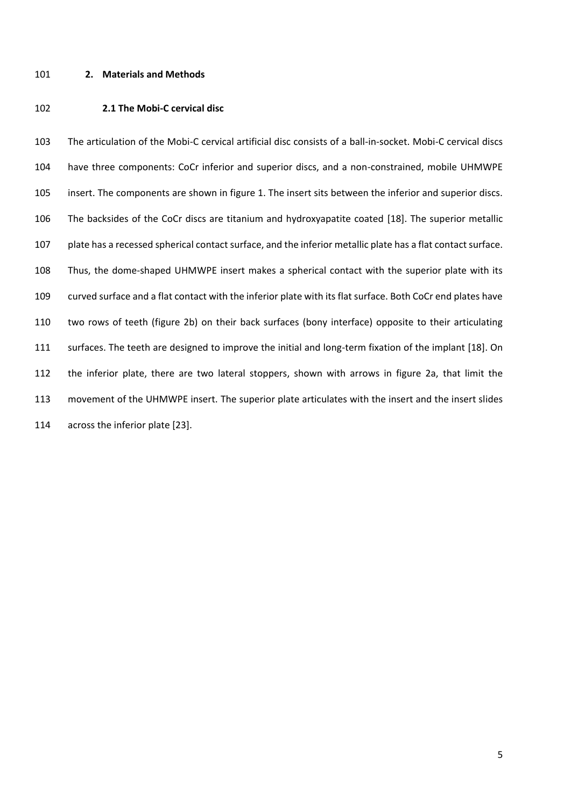### **2. Materials and Methods**

### **2.1 The Mobi-C cervical disc**

 The articulation of the Mobi-C cervical artificial disc consists of a ball-in-socket. Mobi-C cervical discs have three components: CoCr inferior and superior discs, and a non-constrained, mobile UHMWPE insert. The components are shown in figure 1. The insert sits between the inferior and superior discs. The backsides of the CoCr discs are titanium and hydroxyapatite coated [18]. The superior metallic plate has a recessed spherical contact surface, and the inferior metallic plate has a flat contact surface. Thus, the dome-shaped UHMWPE insert makes a spherical contact with the superior plate with its curved surface and a flat contact with the inferior plate with its flat surface. Both CoCr end plates have two rows of teeth (figure 2b) on their back surfaces (bony interface) opposite to their articulating surfaces. The teeth are designed to improve the initial and long-term fixation of the implant [18]. On the inferior plate, there are two lateral stoppers, shown with arrows in figure 2a, that limit the movement of the UHMWPE insert. The superior plate articulates with the insert and the insert slides across the inferior plate [23].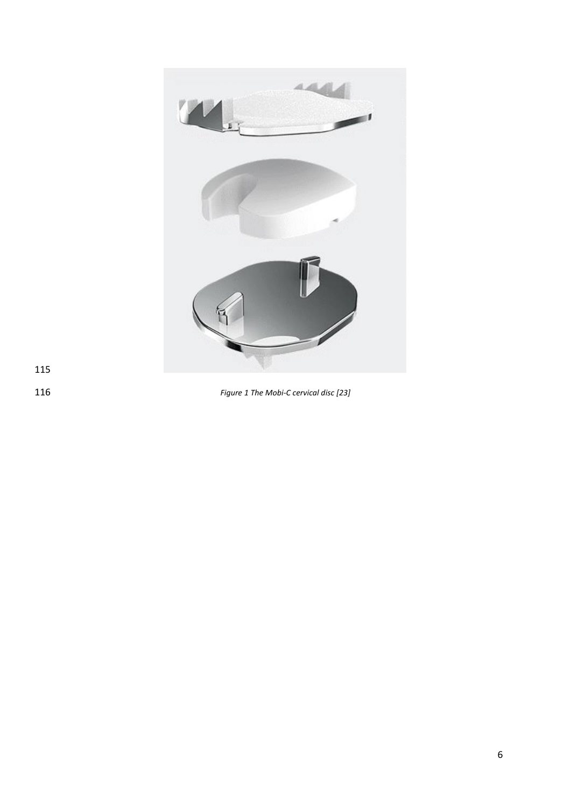

*Figure 1 The Mobi-C cervical disc [23]*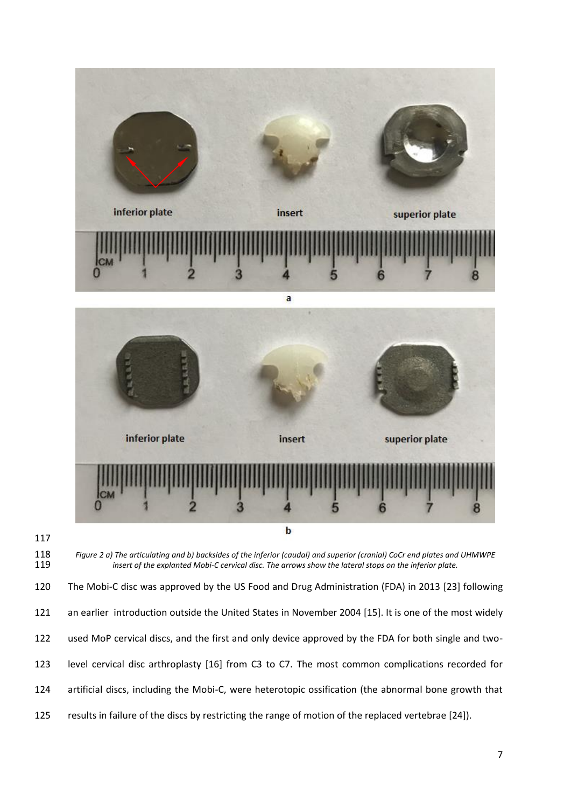



 *Figure 2 a) The articulating and b) backsides of the inferior (caudal) and superior (cranial) CoCr end plates and UHMWPE insert of the explanted Mobi-C cervical disc. The arrows show the lateral stops on the inferior plate.*

 The Mobi-C disc was approved by the US Food and Drug Administration (FDA) in 2013 [23] following an earlier introduction outside the United States in November 2004 [15]. It is one of the most widely used MoP cervical discs, and the first and only device approved by the FDA for both single and two- level cervical disc arthroplasty [16] from C3 to C7. The most common complications recorded for artificial discs, including the Mobi-C, were heterotopic ossification (the abnormal bone growth that results in failure of the discs by restricting the range of motion of the replaced vertebrae [24]).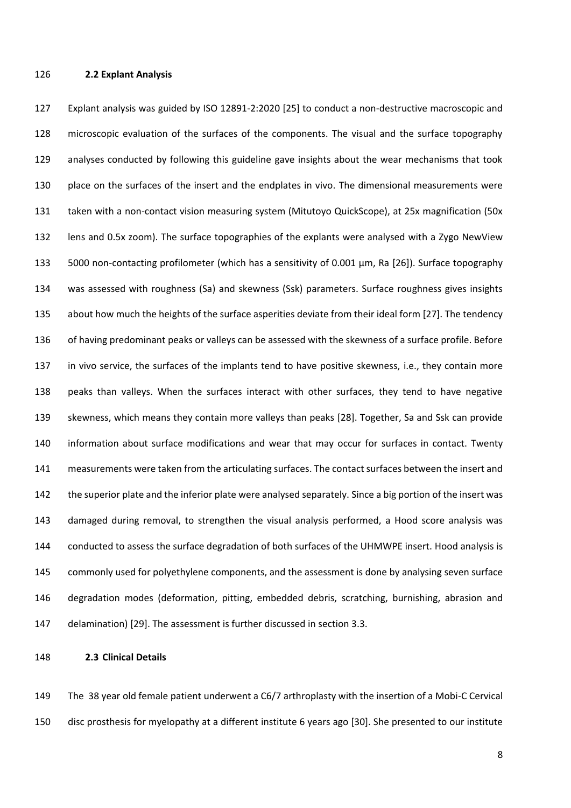## **2.2 Explant Analysis**

 Explant analysis was guided by ISO 12891-2:2020 [25] to conduct a non-destructive macroscopic and microscopic evaluation of the surfaces of the components. The visual and the surface topography analyses conducted by following this guideline gave insights about the wear mechanisms that took place on the surfaces of the insert and the endplates in vivo. The dimensional measurements were taken with a non-contact vision measuring system (Mitutoyo QuickScope), at 25x magnification (50x lens and 0.5x zoom). The surface topographies of the explants were analysed with a Zygo NewView 5000 non-contacting profilometer (which has a sensitivity of 0.001 µm, Ra [26]). Surface topography was assessed with roughness (Sa) and skewness (Ssk) parameters. Surface roughness gives insights about how much the heights of the surface asperities deviate from their ideal form [27]. The tendency of having predominant peaks or valleys can be assessed with the skewness of a surface profile. Before in vivo service, the surfaces of the implants tend to have positive skewness, i.e., they contain more peaks than valleys. When the surfaces interact with other surfaces, they tend to have negative skewness, which means they contain more valleys than peaks [28]. Together, Sa and Ssk can provide information about surface modifications and wear that may occur for surfaces in contact. Twenty measurements were taken from the articulating surfaces. The contact surfaces between the insert and the superior plate and the inferior plate were analysed separately. Since a big portion of the insert was damaged during removal, to strengthen the visual analysis performed, a Hood score analysis was conducted to assess the surface degradation of both surfaces of the UHMWPE insert. Hood analysis is 145 commonly used for polyethylene components, and the assessment is done by analysing seven surface degradation modes (deformation, pitting, embedded debris, scratching, burnishing, abrasion and delamination) [29]. The assessment is further discussed in section 3.3.

**2.3 Clinical Details** 

 The 38 year old female patient underwent a C6/7 arthroplasty with the insertion of a Mobi-C Cervical disc prosthesis for myelopathy at a different institute 6 years ago [30]. She presented to our institute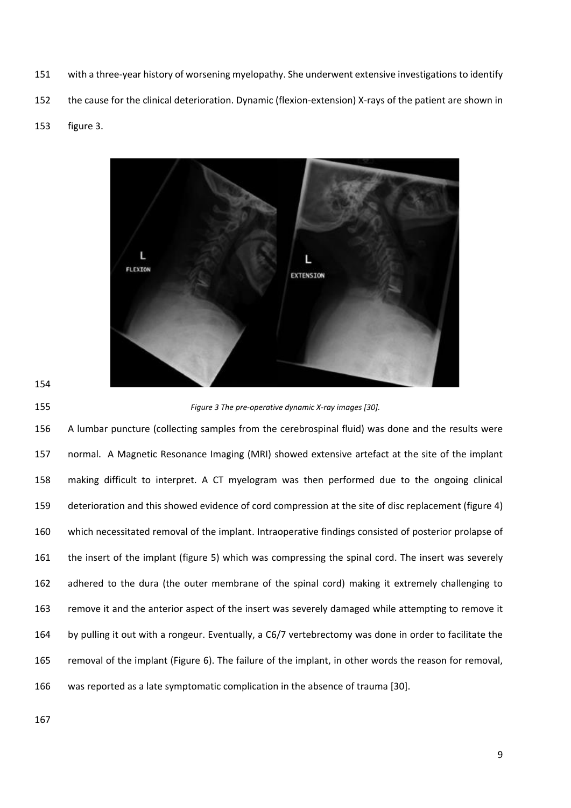- with a three-year history of worsening myelopathy. She underwent extensive investigations to identify
- the cause for the clinical deterioration. Dynamic (flexion-extension) X-rays of the patient are shown in
- figure 3.



*Figure 3 The pre-operative dynamic X-ray images [30].*

 A lumbar puncture (collecting samples from the cerebrospinal fluid) was done and the results were normal. A Magnetic Resonance Imaging (MRI) showed extensive artefact at the site of the implant making difficult to interpret. A CT myelogram was then performed due to the ongoing clinical deterioration and this showed evidence of cord compression at the site of disc replacement (figure 4) which necessitated removal of the implant. Intraoperative findings consisted of posterior prolapse of the insert of the implant (figure 5) which was compressing the spinal cord. The insert was severely adhered to the dura (the outer membrane of the spinal cord) making it extremely challenging to remove it and the anterior aspect of the insert was severely damaged while attempting to remove it by pulling it out with a rongeur. Eventually, a C6/7 vertebrectomy was done in order to facilitate the removal of the implant (Figure 6). The failure of the implant, in other words the reason for removal, was reported as a late symptomatic complication in the absence of trauma [30].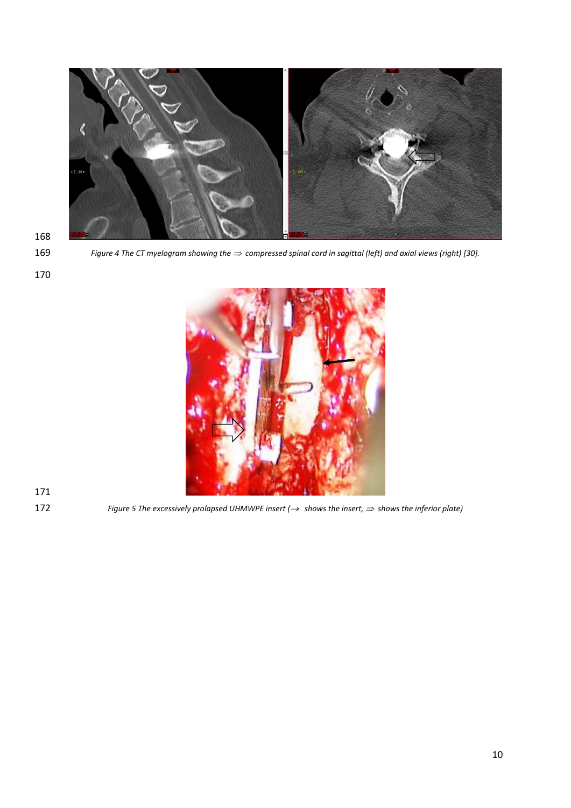

*Figure 4 The CT myelogram showing the compressed spinal cord in sagittal (left) and axial views (right) [30].*



*Figure 5 The excessively prolapsed UHMWPE insert (*→ *shows the insert, shows the inferior plate)*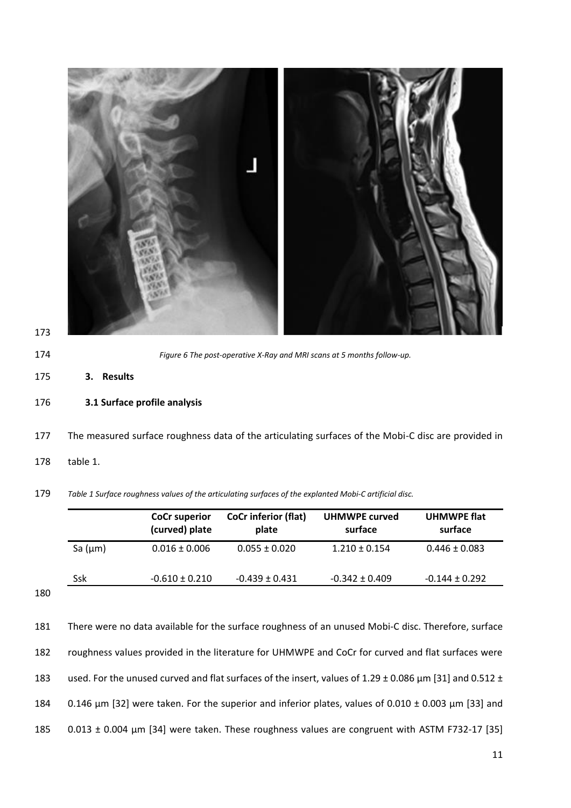|              | <b>CoCr superior</b><br>(curved) plate | <b>CoCr inferior (flat)</b><br>plate | UHMWPE curved<br>surface | <b>UHMWPE flat</b><br>surface |
|--------------|----------------------------------------|--------------------------------------|--------------------------|-------------------------------|
| Sa $(\mu m)$ | $0.016 \pm 0.006$                      | $0.055 \pm 0.020$                    | $1.210 \pm 0.154$        | $0.446 \pm 0.083$             |
| Ssk          | $-0.610 \pm 0.210$                     | $-0.439 \pm 0.431$                   | $-0.342 \pm 0.409$       | $-0.144 \pm 0.292$            |

 There were no data available for the surface roughness of an unused Mobi-C disc. Therefore, surface roughness values provided in the literature for UHMWPE and CoCr for curved and flat surfaces were used. For the unused curved and flat surfaces of the insert, values of 1.29 ± 0.086 μm [31] and 0.512 ± 0.146 μm [32] were taken. For the superior and inferior plates, values of 0.010 ± 0.003 μm [33] and 0.013 ± 0.004 μm [34] were taken. These roughness values are congruent with ASTM F732-17 [35]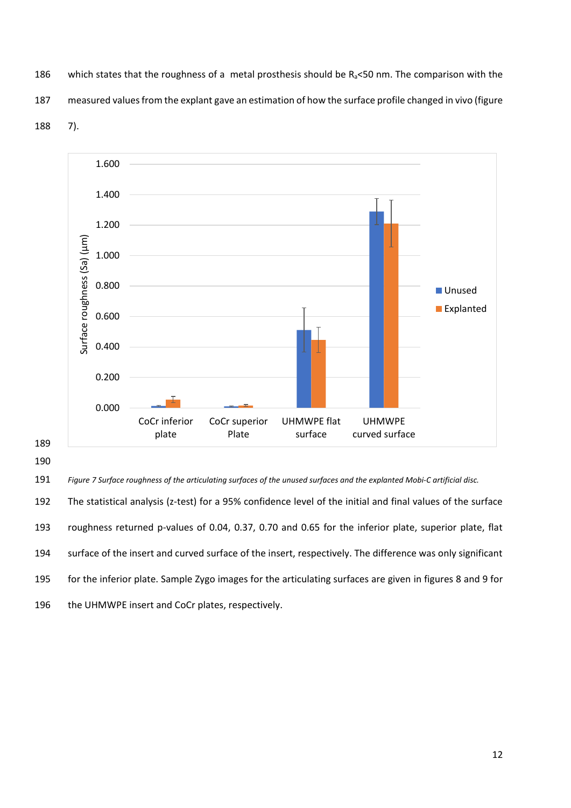186 which states that the roughness of a metal prosthesis should be  $R_a$ <50 nm. The comparison with the 187 measured values from the explant gave an estimation of how the surface profile changed in vivo (figure 188 7).



190

 *Figure 7 Surface roughness of the articulating surfaces of the unused surfaces and the explanted Mobi-C artificial disc.* The statistical analysis (z-test) for a 95% confidence level of the initial and final values of the surface roughness returned p-values of 0.04, 0.37, 0.70 and 0.65 for the inferior plate, superior plate, flat surface of the insert and curved surface of the insert, respectively. The difference was only significant for the inferior plate. Sample Zygo images for the articulating surfaces are given in figures 8 and 9 for 196 the UHMWPE insert and CoCr plates, respectively.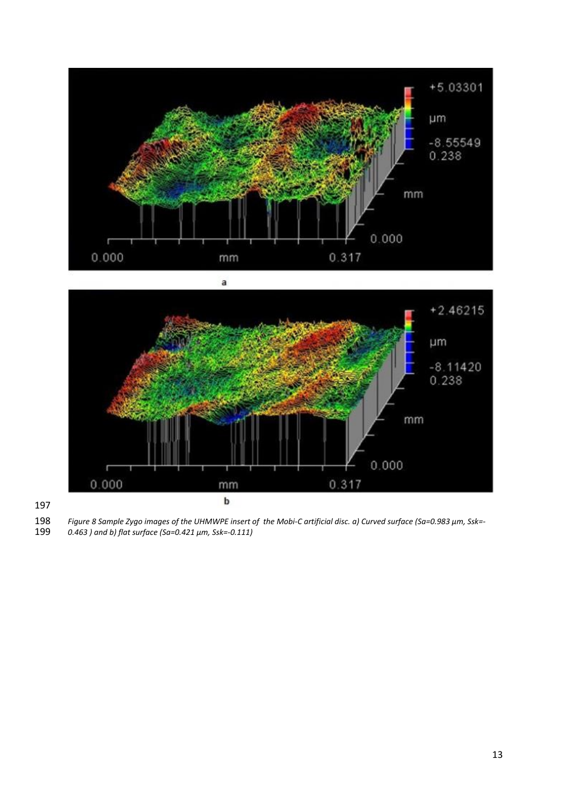



*Figure 8 Sample Zygo images of the UHMWPE insert of the Mobi-C artificial disc. a) Curved surface (Sa=0.983 μm, Ssk=-*

*0.463 ) and b) flat surface (Sa=0.421 μm, Ssk=-0.111)*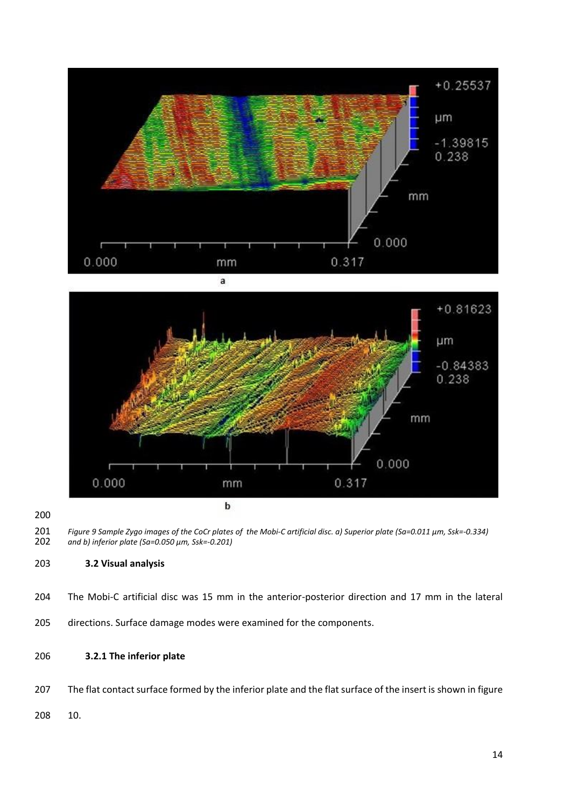



## **3.2 Visual analysis**

- The Mobi-C artificial disc was 15 mm in the anterior-posterior direction and 17 mm in the lateral
- directions. Surface damage modes were examined for the components.

# **3.2.1 The inferior plate**

207 The flat contact surface formed by the inferior plate and the flat surface of the insert is shown in figure

10.

 *Figure 9 Sample Zygo images of the CoCr plates of the Mobi-C artificial disc. a) Superior plate (Sa=0.011 μm, Ssk=-0.334) and b) inferior plate (Sa=0.050 μm, Ssk=-0.201)*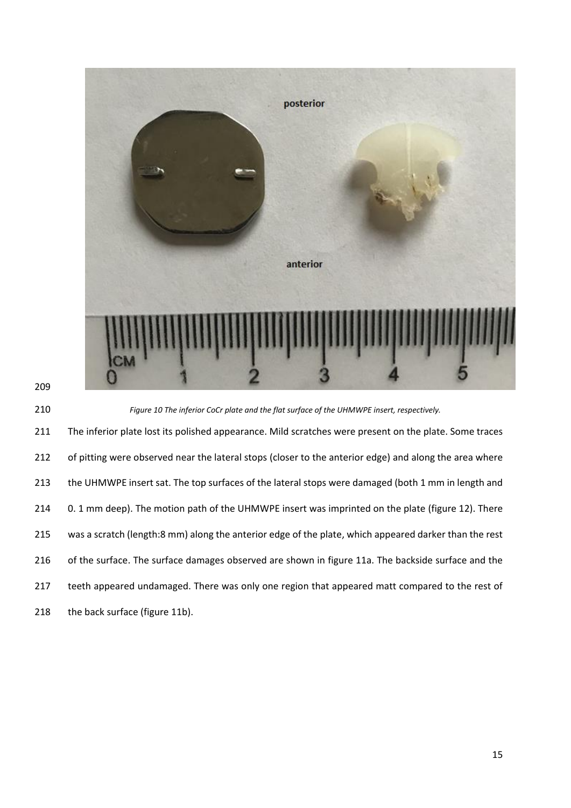



210 *Figure 10 The inferior CoCr plate and the flat surface of the UHMWPE insert, respectively.*

211 The inferior plate lost its polished appearance. Mild scratches were present on the plate. Some traces 212 of pitting were observed near the lateral stops (closer to the anterior edge) and along the area where 213 the UHMWPE insert sat. The top surfaces of the lateral stops were damaged (both 1 mm in length and 214 0. 1 mm deep). The motion path of the UHMWPE insert was imprinted on the plate (figure 12). There 215 was a scratch (length:8 mm) along the anterior edge of the plate, which appeared darker than the rest 216 of the surface. The surface damages observed are shown in figure 11a. The backside surface and the 217 teeth appeared undamaged. There was only one region that appeared matt compared to the rest of 218 the back surface (figure 11b).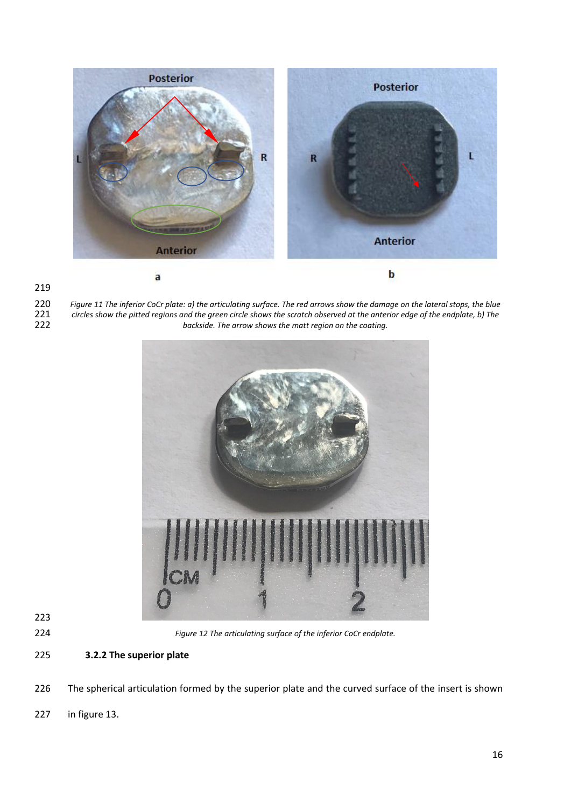

 *Figure 11 The inferior CoCr plate: a) the articulating surface. The red arrows show the damage on the lateral stops, the blue circles show the pitted regions and the green circle shows the scratch observed at the anterior edge of the endplate, b) The*  backside. The arrow shows the matt region on the coating.



*Figure 12 The articulating surface of the inferior CoCr endplate.*

**3.2.2 The superior plate**

The spherical articulation formed by the superior plate and the curved surface of the insert is shown

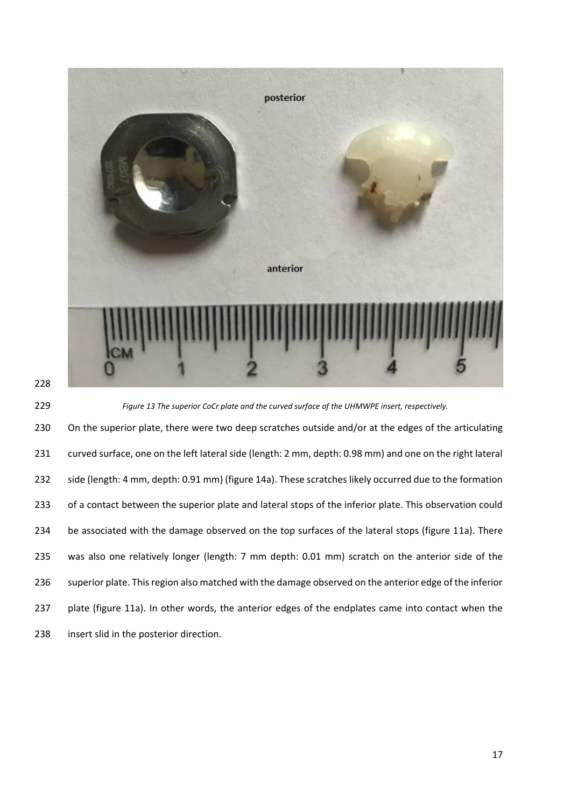



*Figure 13 The superior CoCr plate and the curved surface of the UHMWPE insert, respectively.*

230 On the superior plate, there were two deep scratches outside and/or at the edges of the articulating curved surface, one on the left lateral side (length: 2 mm, depth: 0.98 mm) and one on the right lateral 232 side (length: 4 mm, depth: 0.91 mm) (figure 14a). These scratches likely occurred due to the formation 233 of a contact between the superior plate and lateral stops of the inferior plate. This observation could 234 be associated with the damage observed on the top surfaces of the lateral stops (figure 11a). There was also one relatively longer (length: 7 mm depth: 0.01 mm) scratch on the anterior side of the superior plate. This region also matched with the damage observed on the anterior edge of the inferior plate (figure 11a). In other words, the anterior edges of the endplates came into contact when the insert slid in the posterior direction.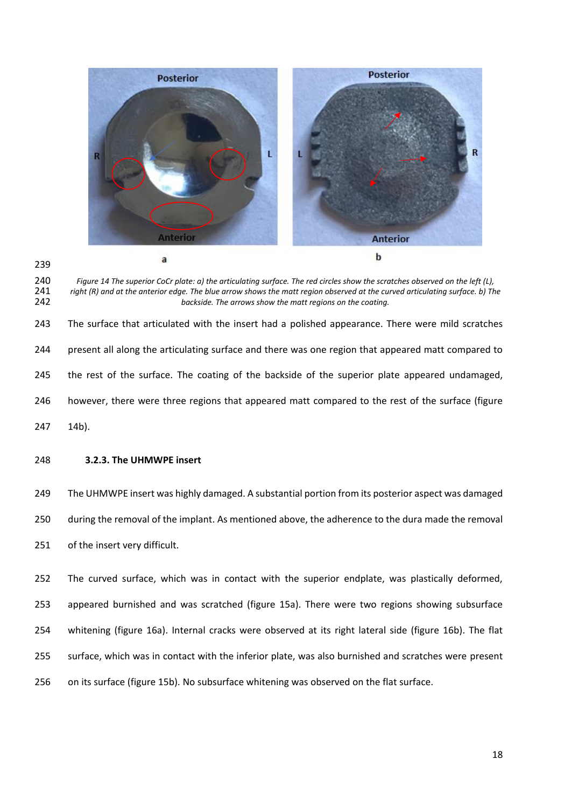

 *Figure 14 The superior CoCr plate: a) the articulating surface. The red circles show the scratches observed on the left (L), right (R) and at the anterior edge. The blue arrow shows the matt region observed at the curved articulating surface. b) The backside. The arrows show the matt regions on the coating.*

 The surface that articulated with the insert had a polished appearance. There were mild scratches present all along the articulating surface and there was one region that appeared matt compared to 245 the rest of the surface. The coating of the backside of the superior plate appeared undamaged, however, there were three regions that appeared matt compared to the rest of the surface (figure 14b).

**3.2.3. The UHMWPE insert**

 The UHMWPE insert was highly damaged. A substantial portion from its posterior aspect was damaged during the removal of the implant. As mentioned above, the adherence to the dura made the removal of the insert very difficult.

 The curved surface, which was in contact with the superior endplate, was plastically deformed, appeared burnished and was scratched (figure 15a). There were two regions showing subsurface whitening (figure 16a). Internal cracks were observed at its right lateral side (figure 16b). The flat surface, which was in contact with the inferior plate, was also burnished and scratches were present on its surface (figure 15b). No subsurface whitening was observed on the flat surface.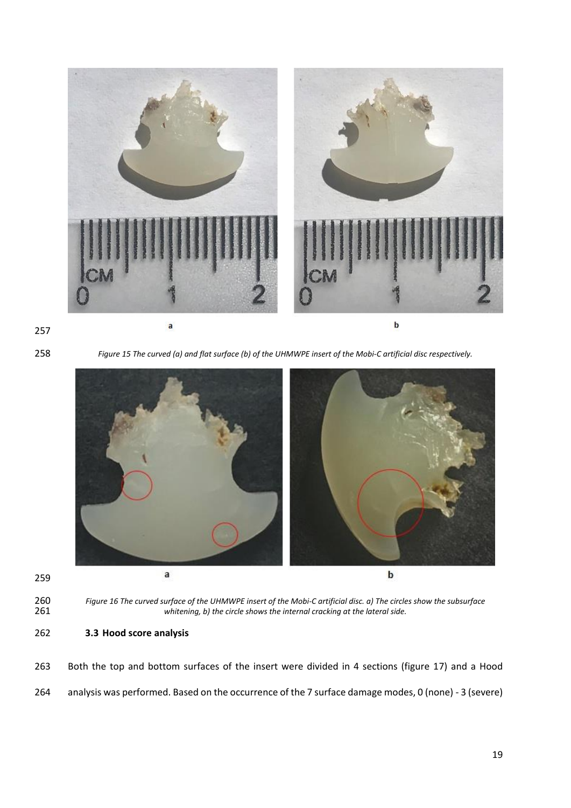



*Figure 15 The curved (a) and flat surface (b) of the UHMWPE insert of the Mobi-C artificial disc respectively.*



 *Figure 16 The curved surface of the UHMWPE insert of the Mobi-C artificial disc. a) The circles show the subsurface*  whitening, b) the circle shows the internal cracking at the lateral side.

**3.3 Hood score analysis** 

 Both the top and bottom surfaces of the insert were divided in 4 sections (figure 17) and a Hood analysis was performed. Based on the occurrence of the 7 surface damage modes, 0 (none) - 3 (severe)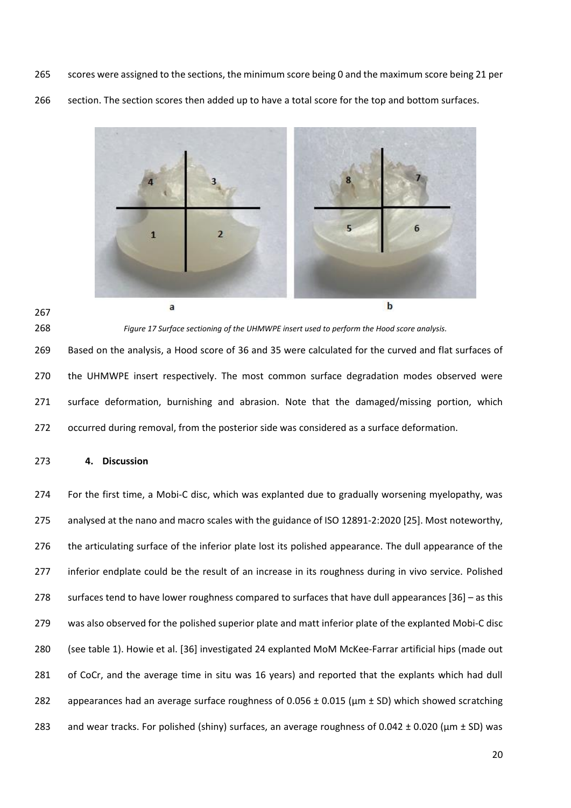scores were assigned to the sections, the minimum score being 0 and the maximum score being 21 per 266 section. The section scores then added up to have a total score for the top and bottom surfaces.



 *Figure 17 Surface sectioning of the UHMWPE insert used to perform the Hood score analysis.* Based on the analysis, a Hood score of 36 and 35 were calculated for the curved and flat surfaces of the UHMWPE insert respectively. The most common surface degradation modes observed were surface deformation, burnishing and abrasion. Note that the damaged/missing portion, which occurred during removal, from the posterior side was considered as a surface deformation.

### **4. Discussion**

 For the first time, a Mobi-C disc, which was explanted due to gradually worsening myelopathy, was analysed at the nano and macro scales with the guidance of ISO 12891-2:2020 [25]. Most noteworthy, the articulating surface of the inferior plate lost its polished appearance. The dull appearance of the 277 inferior endplate could be the result of an increase in its roughness during in vivo service. Polished surfaces tend to have lower roughness compared to surfaces that have dull appearances [36] – as this was also observed for the polished superior plate and matt inferior plate of the explanted Mobi-C disc (see table 1). Howie et al. [36] investigated 24 explanted MoM McKee-Farrar artificial hips (made out of CoCr, and the average time in situ was 16 years) and reported that the explants which had dull 282 appearances had an average surface roughness of 0.056  $\pm$  0.015 ( $\mu$ m  $\pm$  SD) which showed scratching 283 and wear tracks. For polished (shiny) surfaces, an average roughness of 0.042  $\pm$  0.020 ( $\mu$ m  $\pm$  SD) was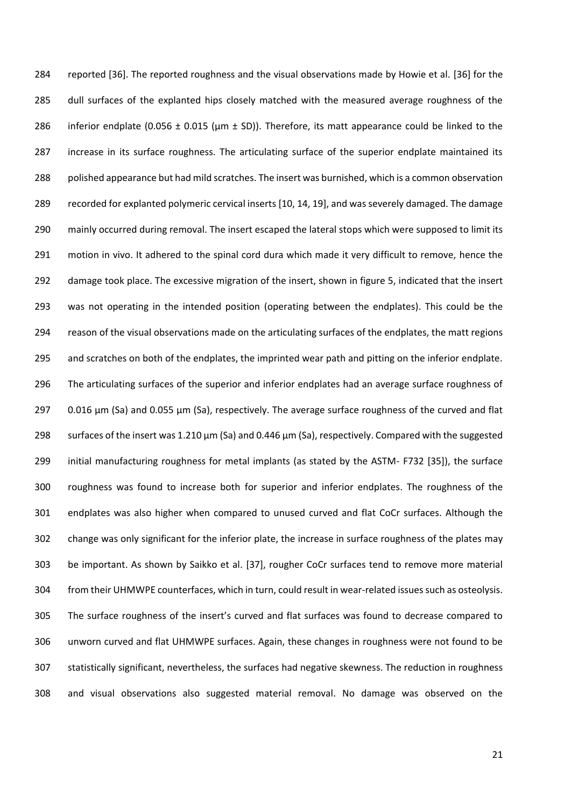reported [36]. The reported roughness and the visual observations made by Howie et al. [36] for the dull surfaces of the explanted hips closely matched with the measured average roughness of the 286 inferior endplate (0.056  $\pm$  0.015 ( $\mu$ m  $\pm$  SD)). Therefore, its matt appearance could be linked to the increase in its surface roughness. The articulating surface of the superior endplate maintained its polished appearance but had mild scratches. The insert was burnished, which is a common observation recorded for explanted polymeric cervical inserts [10, 14, 19], and was severely damaged. The damage 290 mainly occurred during removal. The insert escaped the lateral stops which were supposed to limit its motion in vivo. It adhered to the spinal cord dura which made it very difficult to remove, hence the damage took place. The excessive migration of the insert, shown in figure 5, indicated that the insert was not operating in the intended position (operating between the endplates). This could be the reason of the visual observations made on the articulating surfaces of the endplates, the matt regions and scratches on both of the endplates, the imprinted wear path and pitting on the inferior endplate. The articulating surfaces of the superior and inferior endplates had an average surface roughness of 0.016 μm (Sa) and 0.055 μm (Sa), respectively. The average surface roughness of the curved and flat surfaces of the insert was 1.210 μm (Sa) and 0.446 μm (Sa), respectively. Compared with the suggested initial manufacturing roughness for metal implants (as stated by the ASTM- F732 [35]), the surface roughness was found to increase both for superior and inferior endplates. The roughness of the endplates was also higher when compared to unused curved and flat CoCr surfaces. Although the change was only significant for the inferior plate, the increase in surface roughness of the plates may be important. As shown by Saikko et al. [37], rougher CoCr surfaces tend to remove more material from their UHMWPE counterfaces, which in turn, could result in wear-related issues such as osteolysis. The surface roughness of the insert's curved and flat surfaces was found to decrease compared to unworn curved and flat UHMWPE surfaces. Again, these changes in roughness were not found to be statistically significant, nevertheless, the surfaces had negative skewness. The reduction in roughness and visual observations also suggested material removal. No damage was observed on the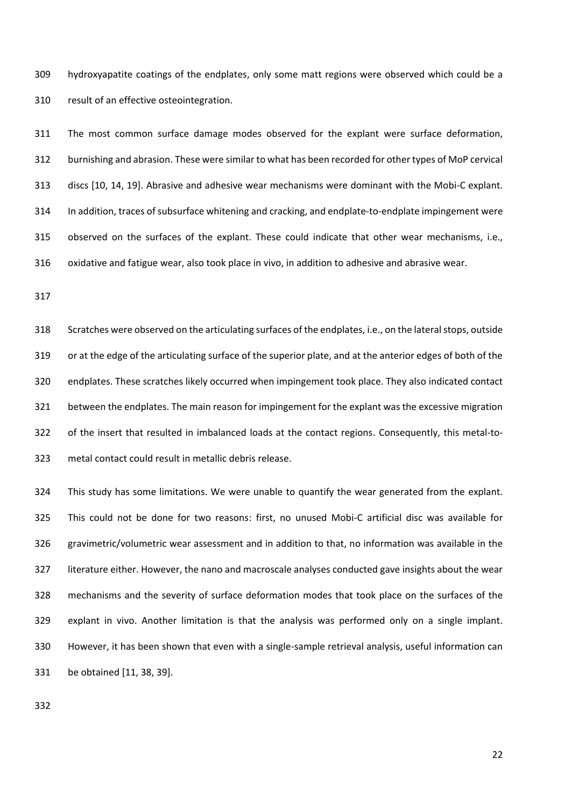hydroxyapatite coatings of the endplates, only some matt regions were observed which could be a result of an effective osteointegration.

 The most common surface damage modes observed for the explant were surface deformation, burnishing and abrasion. These were similar to what has been recorded for other types of MoP cervical discs [10, 14, 19]. Abrasive and adhesive wear mechanisms were dominant with the Mobi-C explant. In addition, traces of subsurface whitening and cracking, and endplate-to-endplate impingement were observed on the surfaces of the explant. These could indicate that other wear mechanisms, i.e., oxidative and fatigue wear, also took place in vivo, in addition to adhesive and abrasive wear.

 Scratches were observed on the articulating surfaces of the endplates, i.e., on the lateral stops, outside or at the edge of the articulating surface of the superior plate, and at the anterior edges of both of the endplates. These scratches likely occurred when impingement took place. They also indicated contact between the endplates. The main reason for impingement for the explant was the excessive migration of the insert that resulted in imbalanced loads at the contact regions. Consequently, this metal-to-metal contact could result in metallic debris release.

 This study has some limitations. We were unable to quantify the wear generated from the explant. This could not be done for two reasons: first, no unused Mobi-C artificial disc was available for gravimetric/volumetric wear assessment and in addition to that, no information was available in the literature either. However, the nano and macroscale analyses conducted gave insights about the wear mechanisms and the severity of surface deformation modes that took place on the surfaces of the explant in vivo. Another limitation is that the analysis was performed only on a single implant. However, it has been shown that even with a single-sample retrieval analysis, useful information can be obtained [11, 38, 39].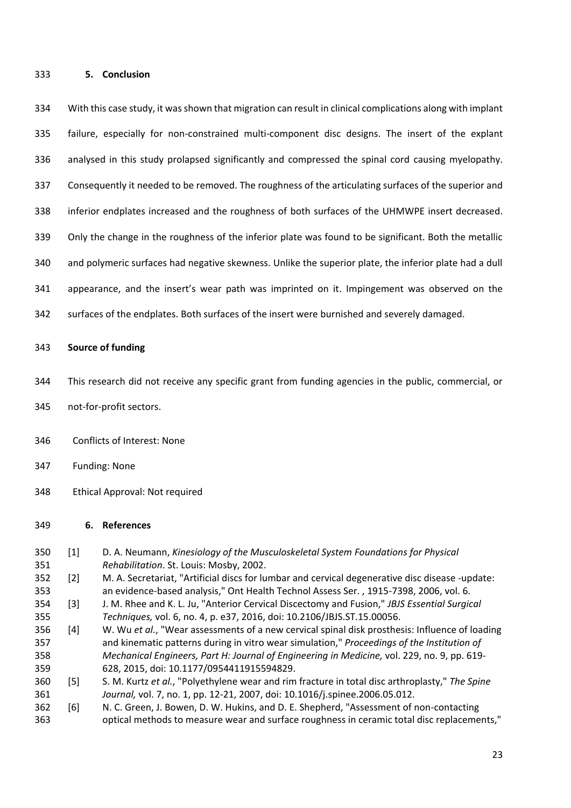### **5. Conclusion**

 With this case study, it was shown that migration can result in clinical complications along with implant failure, especially for non-constrained multi-component disc designs. The insert of the explant analysed in this study prolapsed significantly and compressed the spinal cord causing myelopathy. Consequently it needed to be removed. The roughness of the articulating surfaces of the superior and inferior endplates increased and the roughness of both surfaces of the UHMWPE insert decreased. Only the change in the roughness of the inferior plate was found to be significant. Both the metallic and polymeric surfaces had negative skewness. Unlike the superior plate, the inferior plate had a dull appearance, and the insert's wear path was imprinted on it. Impingement was observed on the surfaces of the endplates. Both surfaces of the insert were burnished and severely damaged.

## **Source of funding**

- This research did not receive any specific grant from funding agencies in the public, commercial, or
- not-for-profit sectors.
- Conflicts of Interest: None
- Funding: None
- Ethical Approval: Not required

## **6. References**

 [1] D. A. Neumann, *Kinesiology of the Musculoskeletal System Foundations for Physical Rehabilitation*. St. Louis: Mosby, 2002. [2] M. A. Secretariat, "Artificial discs for lumbar and cervical degenerative disc disease -update: an evidence-based analysis," Ont Health Technol Assess Ser. , 1915-7398, 2006, vol. 6. [3] J. M. Rhee and K. L. Ju, "Anterior Cervical Discectomy and Fusion," *JBJS Essential Surgical Techniques,* vol. 6, no. 4, p. e37, 2016, doi: 10.2106/JBJS.ST.15.00056. [4] W. Wu *et al.*, "Wear assessments of a new cervical spinal disk prosthesis: Influence of loading and kinematic patterns during in vitro wear simulation," *Proceedings of the Institution of Mechanical Engineers, Part H: Journal of Engineering in Medicine,* vol. 229, no. 9, pp. 619- 628, 2015, doi: 10.1177/0954411915594829. [5] S. M. Kurtz *et al.*, "Polyethylene wear and rim fracture in total disc arthroplasty," *The Spine Journal,* vol. 7, no. 1, pp. 12-21, 2007, doi: 10.1016/j.spinee.2006.05.012. [6] N. C. Green, J. Bowen, D. W. Hukins, and D. E. Shepherd, "Assessment of non-contacting optical methods to measure wear and surface roughness in ceramic total disc replacements,"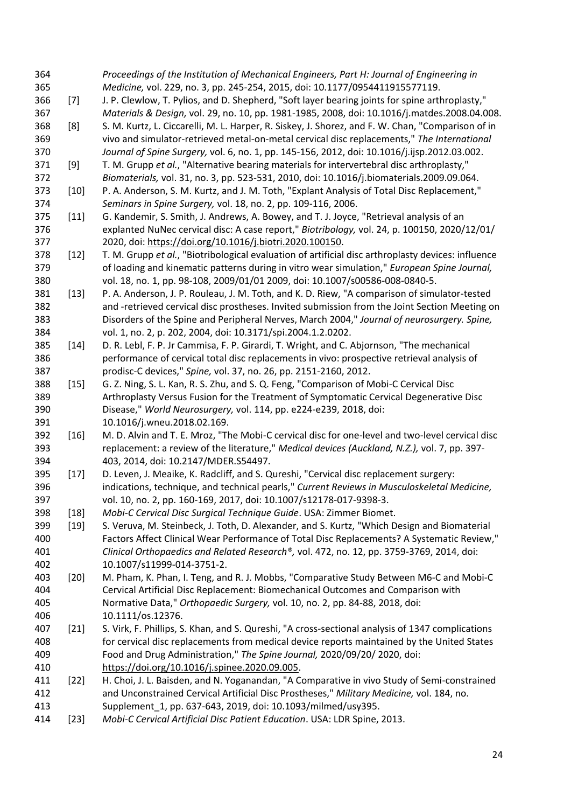| 364        |        | Proceedings of the Institution of Mechanical Engineers, Part H: Journal of Engineering in                                                                                  |
|------------|--------|----------------------------------------------------------------------------------------------------------------------------------------------------------------------------|
| 365        |        | Medicine, vol. 229, no. 3, pp. 245-254, 2015, doi: 10.1177/0954411915577119.                                                                                               |
| 366        | $[7]$  | J. P. Clewlow, T. Pylios, and D. Shepherd, "Soft layer bearing joints for spine arthroplasty,"                                                                             |
| 367        |        | Materials & Design, vol. 29, no. 10, pp. 1981-1985, 2008, doi: 10.1016/j.matdes.2008.04.008.                                                                               |
| 368        | [8]    | S. M. Kurtz, L. Ciccarelli, M. L. Harper, R. Siskey, J. Shorez, and F. W. Chan, "Comparison of in                                                                          |
| 369        |        | vivo and simulator-retrieved metal-on-metal cervical disc replacements," The International                                                                                 |
| 370        |        | Journal of Spine Surgery, vol. 6, no. 1, pp. 145-156, 2012, doi: 10.1016/j.ijsp.2012.03.002.                                                                               |
| 371        | $[9]$  | T. M. Grupp et al., "Alternative bearing materials for intervertebral disc arthroplasty,"                                                                                  |
| 372        |        | Biomaterials, vol. 31, no. 3, pp. 523-531, 2010, doi: 10.1016/j.biomaterials.2009.09.064.                                                                                  |
| 373        | $[10]$ | P. A. Anderson, S. M. Kurtz, and J. M. Toth, "Explant Analysis of Total Disc Replacement,"                                                                                 |
| 374        |        | Seminars in Spine Surgery, vol. 18, no. 2, pp. 109-116, 2006.                                                                                                              |
| 375        | $[11]$ | G. Kandemir, S. Smith, J. Andrews, A. Bowey, and T. J. Joyce, "Retrieval analysis of an                                                                                    |
| 376        |        | explanted NuNec cervical disc: A case report," Biotribology, vol. 24, p. 100150, 2020/12/01/                                                                               |
| 377        |        | 2020, doi: https://doi.org/10.1016/j.biotri.2020.100150.                                                                                                                   |
| 378        | $[12]$ | T. M. Grupp et al., "Biotribological evaluation of artificial disc arthroplasty devices: influence                                                                         |
| 379        |        | of loading and kinematic patterns during in vitro wear simulation," European Spine Journal,                                                                                |
| 380        |        | vol. 18, no. 1, pp. 98-108, 2009/01/01 2009, doi: 10.1007/s00586-008-0840-5.                                                                                               |
| 381        | $[13]$ | P. A. Anderson, J. P. Rouleau, J. M. Toth, and K. D. Riew, "A comparison of simulator-tested                                                                               |
| 382        |        | and -retrieved cervical disc prostheses. Invited submission from the Joint Section Meeting on                                                                              |
| 383        |        | Disorders of the Spine and Peripheral Nerves, March 2004," Journal of neurosurgery. Spine,                                                                                 |
| 384        |        | vol. 1, no. 2, p. 202, 2004, doi: 10.3171/spi.2004.1.2.0202.                                                                                                               |
| 385        | $[14]$ | D. R. Lebl, F. P. Jr Cammisa, F. P. Girardi, T. Wright, and C. Abjornson, "The mechanical                                                                                  |
| 386        |        | performance of cervical total disc replacements in vivo: prospective retrieval analysis of                                                                                 |
| 387        |        | prodisc-C devices," Spine, vol. 37, no. 26, pp. 2151-2160, 2012.                                                                                                           |
| 388        | $[15]$ | G. Z. Ning, S. L. Kan, R. S. Zhu, and S. Q. Feng, "Comparison of Mobi-C Cervical Disc                                                                                      |
| 389        |        | Arthroplasty Versus Fusion for the Treatment of Symptomatic Cervical Degenerative Disc                                                                                     |
| 390        |        | Disease," World Neurosurgery, vol. 114, pp. e224-e239, 2018, doi:                                                                                                          |
| 391        |        | 10.1016/j.wneu.2018.02.169.                                                                                                                                                |
| 392        | $[16]$ | M. D. Alvin and T. E. Mroz, "The Mobi-C cervical disc for one-level and two-level cervical disc                                                                            |
| 393        |        | replacement: a review of the literature," Medical devices (Auckland, N.Z.), vol. 7, pp. 397-                                                                               |
| 394        |        | 403, 2014, doi: 10.2147/MDER.S54497.                                                                                                                                       |
| 395        | $[17]$ | D. Leven, J. Meaike, K. Radcliff, and S. Qureshi, "Cervical disc replacement surgery:                                                                                      |
| 396        |        | indications, technique, and technical pearls," Current Reviews in Musculoskeletal Medicine,                                                                                |
| 397        |        | vol. 10, no. 2, pp. 160-169, 2017, doi: 10.1007/s12178-017-9398-3.                                                                                                         |
| 398        | $[18]$ | Mobi-C Cervical Disc Surgical Technique Guide. USA: Zimmer Biomet.                                                                                                         |
| 399        | $[19]$ | S. Veruva, M. Steinbeck, J. Toth, D. Alexander, and S. Kurtz, "Which Design and Biomaterial                                                                                |
| 400        |        | Factors Affect Clinical Wear Performance of Total Disc Replacements? A Systematic Review,"                                                                                 |
| 401        |        | Clinical Orthopaedics and Related Research®, vol. 472, no. 12, pp. 3759-3769, 2014, doi:                                                                                   |
| 402        |        | 10.1007/s11999-014-3751-2.                                                                                                                                                 |
| 403<br>404 | $[20]$ | M. Pham, K. Phan, I. Teng, and R. J. Mobbs, "Comparative Study Between M6-C and Mobi-C<br>Cervical Artificial Disc Replacement: Biomechanical Outcomes and Comparison with |
|            |        | Normative Data," Orthopaedic Surgery, vol. 10, no. 2, pp. 84-88, 2018, doi:                                                                                                |
| 405        |        |                                                                                                                                                                            |
| 406<br>407 |        | 10.1111/os.12376.<br>S. Virk, F. Phillips, S. Khan, and S. Qureshi, "A cross-sectional analysis of 1347 complications                                                      |
| 408        | $[21]$ | for cervical disc replacements from medical device reports maintained by the United States                                                                                 |
| 409        |        | Food and Drug Administration," The Spine Journal, 2020/09/20/ 2020, doi:                                                                                                   |
| 410        |        | https://doi.org/10.1016/j.spinee.2020.09.005.                                                                                                                              |
| 411        | $[22]$ | H. Choi, J. L. Baisden, and N. Yoganandan, "A Comparative in vivo Study of Semi-constrained                                                                                |
| 412        |        | and Unconstrained Cervical Artificial Disc Prostheses," Military Medicine, vol. 184, no.                                                                                   |
| 413        |        | Supplement_1, pp. 637-643, 2019, doi: 10.1093/milmed/usy395.                                                                                                               |
| 414        | $[23]$ | Mobi-C Cervical Artificial Disc Patient Education. USA: LDR Spine, 2013.                                                                                                   |
|            |        |                                                                                                                                                                            |